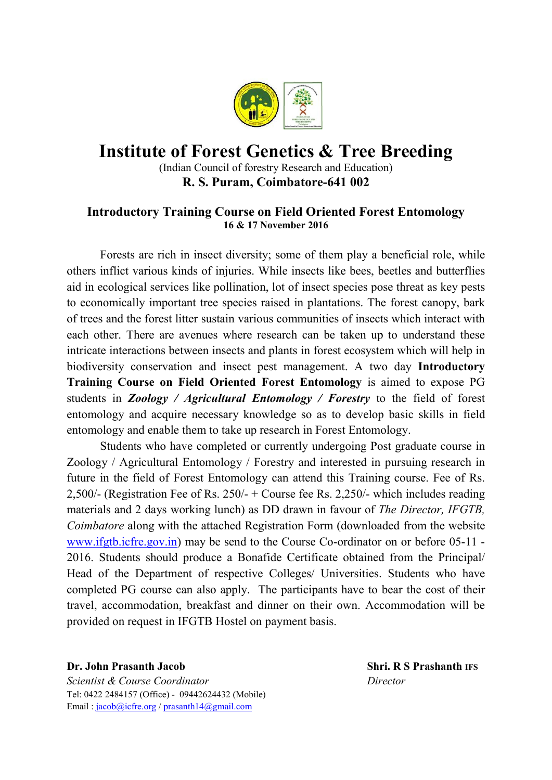

## Institute of Forest Genetics & Tree Breeding

(Indian Council of forestry Research and Education) R. S. Puram, Coimbatore-641 002

### Introductory Training Course on Field Oriented Forest Entomology 16 & 17 November 2016

Forests are rich in insect diversity; some of them play a beneficial role, while others inflict various kinds of injuries. While insects like bees, beetles and butterflies aid in ecological services like pollination, lot of insect species pose threat as key pests to economically important tree species raised in plantations. The forest canopy, bark of trees and the forest litter sustain various communities of insects which interact with each other. There are avenues where research can be taken up to understand these intricate interactions between insects and plants in forest ecosystem which will help in biodiversity conservation and insect pest management. A two day Introductory Training Course on Field Oriented Forest Entomology is aimed to expose PG students in *Zoology / Agricultural Entomology / Forestry* to the field of forest entomology and acquire necessary knowledge so as to develop basic skills in field entomology and enable them to take up research in Forest Entomology.

Students who have completed or currently undergoing Post graduate course in Zoology / Agricultural Entomology / Forestry and interested in pursuing research in future in the field of Forest Entomology can attend this Training course. Fee of Rs. 2,500/- (Registration Fee of Rs. 250/- + Course fee Rs. 2,250/- which includes reading materials and 2 days working lunch) as DD drawn in favour of *The Director, IFGTB, Coimbatore* along with the attached Registration Form (downloaded from the website [www.ifgtb.icfre.gov.in](http://www.ifgtb.icfre.gov.in/)) may be send to the Course Co-ordinator on or before 05-11 - 2016. Students should produce a Bonafide Certificate obtained from the Principal/ Head of the Department of respective Colleges/ Universities. Students who have completed PG course can also apply. The participants have to bear the cost of their travel, accommodation, breakfast and dinner on their own. Accommodation will be provided on request in IFGTB Hostel on payment basis.

### Dr. John Prasanth Jacob Shri. R S Prashanth IFS

*Scientist & Course Coordinator Director* Tel: 0422 2484157 (Office) - 09442624432 (Mobile) Email : [jacob@icfre.org](mailto:jacob@icfre.org) / [prasanth14@gmail.com](mailto:prasanth14@gmail.com)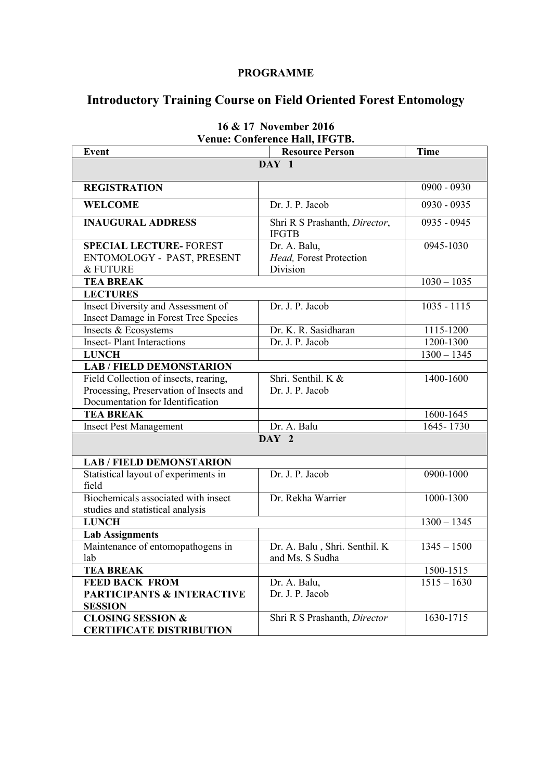#### PROGRAMME

# Introductory Training Course on Field Oriented Forest Entomology

| <b>Event</b>                                                               | venue. Conierence man, ir GTD.<br><b>Resource Person</b> | <b>Time</b>   |  |
|----------------------------------------------------------------------------|----------------------------------------------------------|---------------|--|
|                                                                            | DAY 1                                                    |               |  |
|                                                                            |                                                          |               |  |
| <b>REGISTRATION</b>                                                        |                                                          | $0900 - 0930$ |  |
| <b>WELCOME</b>                                                             | Dr. J. P. Jacob                                          | 0930 - 0935   |  |
| <b>INAUGURAL ADDRESS</b>                                                   | Shri R S Prashanth, Director,<br><b>IFGTB</b>            | 0935 - 0945   |  |
| <b>SPECIAL LECTURE- FOREST</b>                                             | Dr. A. Balu,                                             | 0945-1030     |  |
| ENTOMOLOGY - PAST, PRESENT                                                 | Head, Forest Protection                                  |               |  |
| & FUTURE                                                                   | Division                                                 |               |  |
| <b>TEA BREAK</b>                                                           |                                                          | $1030 - 1035$ |  |
| <b>LECTURES</b>                                                            |                                                          |               |  |
| Insect Diversity and Assessment of<br>Insect Damage in Forest Tree Species | Dr. J. P. Jacob                                          | $1035 - 1115$ |  |
| Insects & Ecosystems                                                       | Dr. K. R. Sasidharan                                     | 1115-1200     |  |
| <b>Insect-Plant Interactions</b>                                           | Dr. J. P. Jacob                                          | 1200-1300     |  |
| <b>LUNCH</b>                                                               |                                                          | $1300 - 1345$ |  |
| <b>LAB / FIELD DEMONSTARION</b>                                            |                                                          |               |  |
| Field Collection of insects, rearing,                                      | Shri. Senthil. K &                                       | $1400 - 1600$ |  |
| Processing, Preservation of Insects and                                    | Dr. J. P. Jacob                                          |               |  |
| Documentation for Identification                                           |                                                          |               |  |
| <b>TEA BREAK</b>                                                           |                                                          | 1600-1645     |  |
| <b>Insect Pest Management</b>                                              | Dr. A. Balu                                              | $1645 - 1730$ |  |
| DAY 2                                                                      |                                                          |               |  |
| <b>LAB / FIELD DEMONSTARION</b>                                            |                                                          |               |  |
| Statistical layout of experiments in<br>field                              | Dr. J. P. Jacob                                          | 0900-1000     |  |
| Biochemicals associated with insect                                        | Dr. Rekha Warrier                                        | 1000-1300     |  |
| studies and statistical analysis                                           |                                                          |               |  |
| <b>LUNCH</b>                                                               |                                                          | $1300 - 1345$ |  |
| <b>Lab Assignments</b>                                                     |                                                          |               |  |
| Maintenance of entomopathogens in<br>lab                                   | Dr. A. Balu, Shri. Senthil. K<br>and Ms. S Sudha         | $1345 - 1500$ |  |
| <b>TEA BREAK</b>                                                           |                                                          | 1500-1515     |  |
| <b>FEED BACK FROM</b>                                                      | Dr. A. Balu,                                             | $1515 - 1630$ |  |
| <b>PARTICIPANTS &amp; INTERACTIVE</b>                                      | Dr. J. P. Jacob                                          |               |  |
| <b>SESSION</b>                                                             |                                                          |               |  |
| <b>CLOSING SESSION &amp;</b>                                               | Shri R S Prashanth, Director                             | 1630-1715     |  |
| <b>CERTIFICATE DISTRIBUTION</b>                                            |                                                          |               |  |

### 16 & 17 November 2016 Venue: Conference Hall, IFGTB.